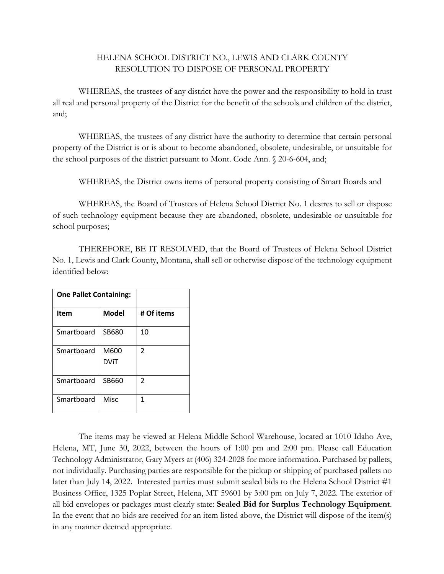## HELENA SCHOOL DISTRICT NO., LEWIS AND CLARK COUNTY RESOLUTION TO DISPOSE OF PERSONAL PROPERTY

WHEREAS, the trustees of any district have the power and the responsibility to hold in trust all real and personal property of the District for the benefit of the schools and children of the district, and;

WHEREAS, the trustees of any district have the authority to determine that certain personal property of the District is or is about to become abandoned, obsolete, undesirable, or unsuitable for the school purposes of the district pursuant to Mont. Code Ann. § 20-6-604, and;

WHEREAS, the District owns items of personal property consisting of Smart Boards and

WHEREAS, the Board of Trustees of Helena School District No. 1 desires to sell or dispose of such technology equipment because they are abandoned, obsolete, undesirable or unsuitable for school purposes;

THEREFORE, BE IT RESOLVED, that the Board of Trustees of Helena School District No. 1, Lewis and Clark County, Montana, shall sell or otherwise dispose of the technology equipment identified below:

| <b>One Pallet Containing:</b> |                     |            |
|-------------------------------|---------------------|------------|
| Item                          | <b>Model</b>        | # Of items |
| Smartboard                    | SB680               | 10         |
| Smartboard                    | M600<br><b>DViT</b> | 2          |
| Smartboard                    | SB660               | 2          |
| Smartboard                    | <b>Misc</b>         | 1          |

The items may be viewed at Helena Middle School Warehouse, located at 1010 Idaho Ave, Helena, MT, June 30, 2022, between the hours of 1:00 pm and 2:00 pm. Please call Education Technology Administrator, Gary Myers at (406) 324-2028 for more information. Purchased by pallets, not individually. Purchasing parties are responsible for the pickup or shipping of purchased pallets no later than July 14, 2022. Interested parties must submit sealed bids to the Helena School District #1 Business Office, 1325 Poplar Street, Helena, MT 59601 by 3:00 pm on July 7, 2022. The exterior of all bid envelopes or packages must clearly state: **Sealed Bid for Surplus Technology Equipment**. In the event that no bids are received for an item listed above, the District will dispose of the item(s) in any manner deemed appropriate.